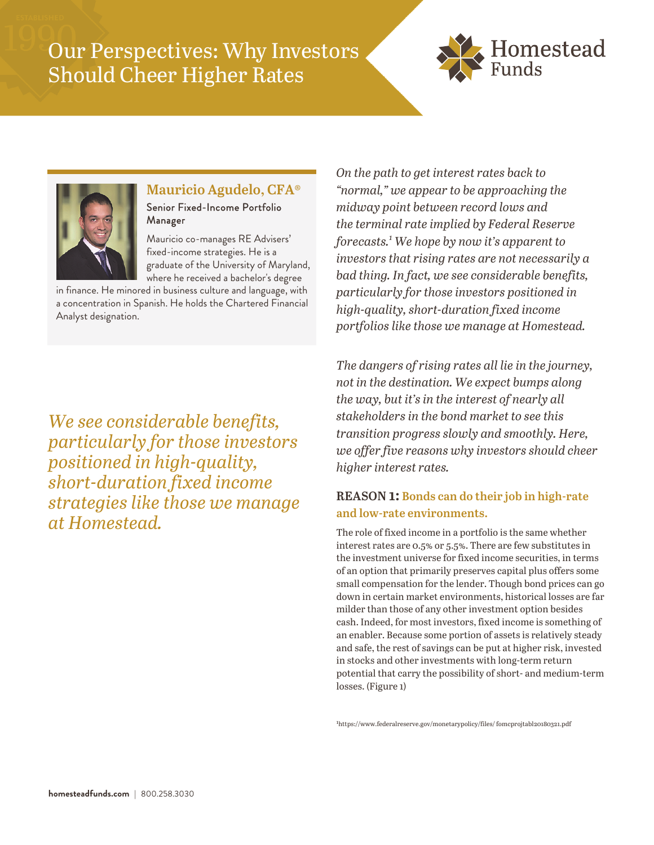# Our Perspectives: Why Investors Should Cheer Higher Rates





## **Mauricio Agudelo, CFA®**

Senior Fixed-Income Portfolio Manager

Mauricio co-manages RE Advisers' fixed-income strategies. He is a graduate of the University of Maryland, where he received a bachelor's degree

in finance. He minored in business culture and language, with a concentration in Spanish. He holds the Chartered Financial Analyst designation.

*We see considerable benefits, particularly for those investors positioned in high-quality, short-duration fixed income strategies like those we manage at Homestead.*

*On the path to get interest rates back to "normal," we appear to be approaching the midway point between record lows and the terminal rate implied by Federal Reserve forecasts.<sup>1</sup> We hope by now it's apparent to investors that rising rates are not necessarily a bad thing. In fact, we see considerable benefits, particularly for those investors positioned in high-quality, short-duration fixed income portfolios like those we manage at Homestead.* 

*The dangers of rising rates all lie in the journey, not in the destination. We expect bumps along the way, but it's in the interest of nearly all stakeholders in the bond market to see this transition progress slowly and smoothly. Here, we offer five reasons why investors should cheer higher interest rates.* 

## **REASON 1: Bonds can do their job in high-rate and low-rate environments.**

The role of fixed income in a portfolio is the same whether interest rates are 0.5% or 5.5%. There are few substitutes in the investment universe for fixed income securities, in terms of an option that primarily preserves capital plus offers some small compensation for the lender. Though bond prices can go down in certain market environments, historical losses are far milder than those of any other investment option besides cash. Indeed, for most investors, fixed income is something of an enabler. Because some portion of assets is relatively steady and safe, the rest of savings can be put at higher risk, invested in stocks and other investments with long-term return potential that carry the possibility of short- and medium-term losses. (Figure 1)

1https://www.federalreserve.gov/monetarypolicy/files/ fomcprojtabl20180321.pdf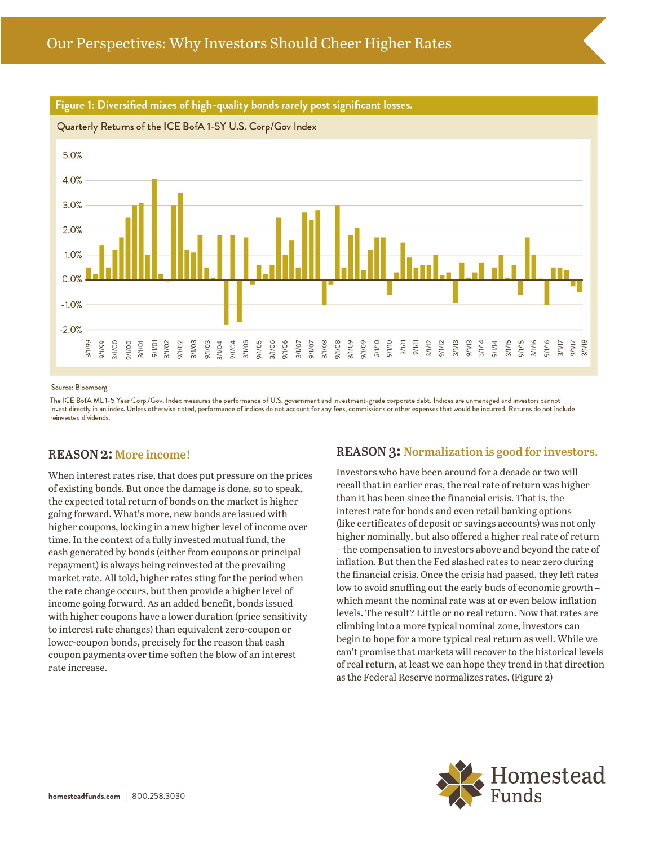

## Figure 1: Diversified mixes of high-quality bonds rarely post significant losses.

#### Source: Bloomberg

The ICE BofA ML1-5 Year Corp./Gov. Index measures the performance of U.S. government and investment-grade corporate debt. Indices are unmanaged and investors cannot invest directly in an index. Unless otherwise noted, performance of indices do not account for any fees, commissions or other expenses that would be incurred. Returns do not include reinvested dividends.

### **REASON 2: More income!**

When interest rates rise, that does put pressure on the prices of existing bonds. But once the damage is done, so to speak, the expected total return of bonds on the market is higher going forward. What's more, new bonds are issued with higher coupons, locking in a new higher level of income over time. In the context of a fully invested mutual fund, the cash generated by bonds (either from coupons or principal repayment) is always being reinvested at the prevailing market rate. All told, higher rates sting for the period when the rate change occurs, but then provide a higher level of income going forward. As an added benefit, bonds issued with higher coupons have a lower duration (price sensitivity to interest rate changes) than equivalent zero-coupon or lower-coupon bonds, precisely for the reason that cash coupon payments over time soften the blow of an interest rate increase.

## **REASON 3: Normalization is good for investors.**

Investors who have been around for a decade or two will recall that in earlier eras, the real rate of return was higher than it has been since the financial crisis. That is, the interest rate for bonds and even retail banking options (like certificates of deposit or savings accounts) was not only higher nominally, but also offered a higher real rate of return – the compensation to investors above and beyond the rate of inflation. But then the Fed slashed rates to near zero during the financial crisis. Once the crisis had passed, they left rates low to avoid snuffing out the early buds of economic growth – which meant the nominal rate was at or even below inflation levels. The result? Little or no real return. Now that rates are climbing into a more typical nominal zone, investors can begin to hope for a more typical real return as well. While we can't promise that markets will recover to the historical levels of real return, at least we can hope they trend in that direction as the Federal Reserve normalizes rates. (Figure 2)

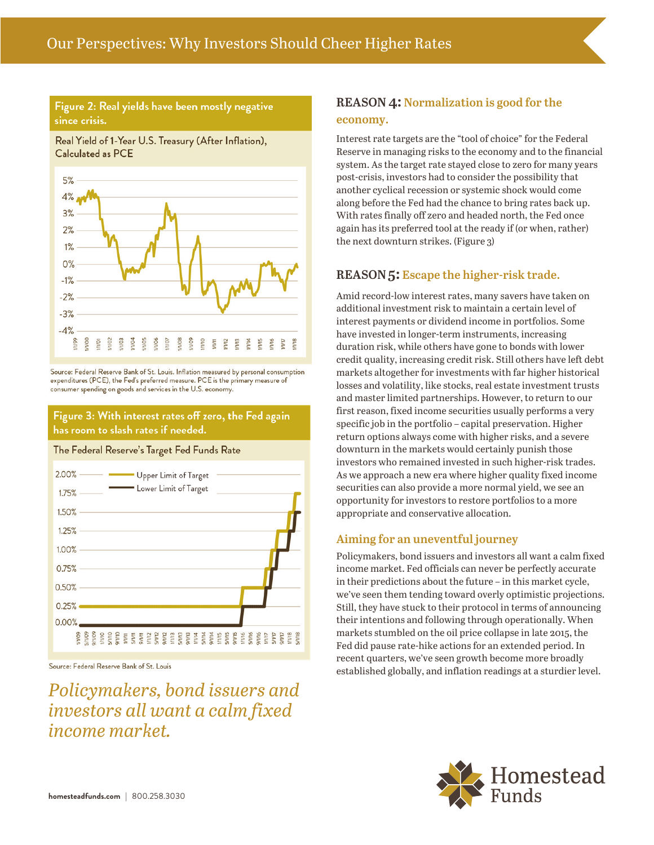## Figure 2: Real yields have been mostly negative since crisis.

Real Yield of 1-Year U.S. Treasury (After Inflation), Calculated as PCE



Source: Federal Reserve Bank of St. Louis. Inflation measured by personal consumption expenditures (PCE), the Fed's preferred measure. PCE is the primary measure of consumer spending on goods and services in the U.S. economy.

Figure 3: With interest rates off zero, the Fed again has room to slash rates if needed.

#### The Federal Reserve's Target Fed Funds Rate



Source: Federal Reserve Bank of St. Louis

*Policymakers, bond issuers and investors all want a calm fixed income market.*

## **REASON 4: Normalization is good for the economy.**

Interest rate targets are the "tool of choice" for the Federal Reserve in managing risks to the economy and to the financial system. As the target rate stayed close to zero for many years post-crisis, investors had to consider the possibility that another cyclical recession or systemic shock would come along before the Fed had the chance to bring rates back up. With rates finally off zero and headed north, the Fed once again has its preferred tool at the ready if (or when, rather) the next downturn strikes. (Figure 3)

## **REASON 5: Escape the higher-risk trade.**

Amid record-low interest rates, many savers have taken on additional investment risk to maintain a certain level of interest payments or dividend income in portfolios. Some have invested in longer-term instruments, increasing duration risk, while others have gone to bonds with lower credit quality, increasing credit risk. Still others have left debt markets altogether for investments with far higher historical losses and volatility, like stocks, real estate investment trusts and master limited partnerships. However, to return to our first reason, fixed income securities usually performs a very specific job in the portfolio – capital preservation. Higher return options always come with higher risks, and a severe downturn in the markets would certainly punish those investors who remained invested in such higher-risk trades. As we approach a new era where higher quality fixed income securities can also provide a more normal yield, we see an opportunity for investors to restore portfolios to a more appropriate and conservative allocation.

## **Aiming for an uneventful journey**

Policymakers, bond issuers and investors all want a calm fixed income market. Fed officials can never be perfectly accurate in their predictions about the future – in this market cycle, we've seen them tending toward overly optimistic projections. Still, they have stuck to their protocol in terms of announcing their intentions and following through operationally. When markets stumbled on the oil price collapse in late 2015, the Fed did pause rate-hike actions for an extended period. In recent quarters, we've seen growth become more broadly established globally, and inflation readings at a sturdier level.